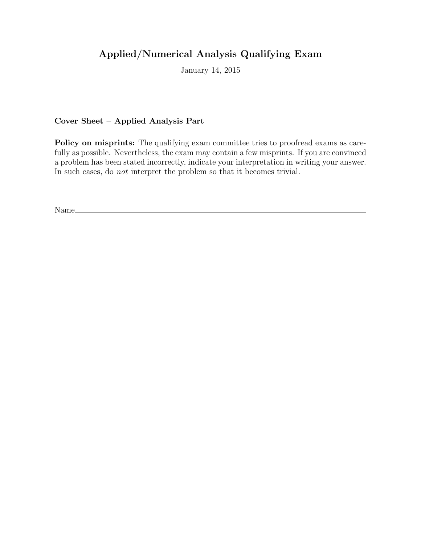# Applied/Numerical Analysis Qualifying Exam

January 14, 2015

Cover Sheet – Applied Analysis Part

Policy on misprints: The qualifying exam committee tries to proofread exams as carefully as possible. Nevertheless, the exam may contain a few misprints. If you are convinced a problem has been stated incorrectly, indicate your interpretation in writing your answer. In such cases, do not interpret the problem so that it becomes trivial.

Name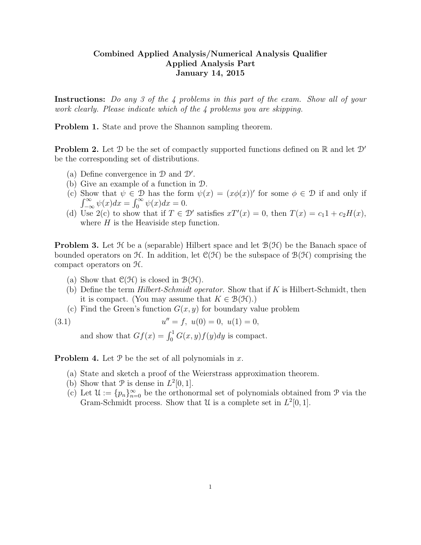### Combined Applied Analysis/Numerical Analysis Qualifier Applied Analysis Part January 14, 2015

Instructions: Do any 3 of the 4 problems in this part of the exam. Show all of your work clearly. Please indicate which of the 4 problems you are skipping.

Problem 1. State and prove the Shannon sampling theorem.

**Problem 2.** Let D be the set of compactly supported functions defined on R and let  $\mathcal{D}'$ be the corresponding set of distributions.

- (a) Define convergence in  $\mathcal D$  and  $\mathcal D'$ .
- (b) Give an example of a function in D.
- (c) Show that  $\psi \in \mathcal{D}$  has the form  $\psi(x) = (x\phi(x))'$  for some  $\phi \in \mathcal{D}$  if and only if  $\int_{-\infty}^{\infty} \psi(x) dx = \int_{0}^{\infty} \psi(x) dx = 0.$
- (d) Use 2(c) to show that if  $T \in \mathcal{D}'$  satisfies  $xT'(x) = 0$ , then  $T(x) = c_1 1 + c_2 H(x)$ , where  $H$  is the Heaviside step function.

**Problem 3.** Let  $\mathcal{H}$  be a (separable) Hilbert space and let  $\mathcal{B}(\mathcal{H})$  be the Banach space of bounded operators on  $\mathcal{H}$ . In addition, let  $\mathcal{C}(\mathcal{H})$  be the subspace of  $\mathcal{B}(\mathcal{H})$  comprising the compact operators on H.

- (a) Show that  $\mathcal{C}(\mathcal{H})$  is closed in  $\mathcal{B}(\mathcal{H})$ .
- (b) Define the term  $Hilbert-Schmidt operator$ . Show that if K is Hilbert-Schmidt, then it is compact. (You may assume that  $K \in \mathcal{B}(\mathcal{H})$ .)
- (c) Find the Green's function  $G(x, y)$  for boundary value problem

(3.1) 
$$
u'' = f, \ u(0) = 0, \ u(1) = 0,
$$

and show that  $Gf(x) = \int_0^1 G(x, y) f(y) dy$  is compact.

**Problem 4.** Let  $\mathcal{P}$  be the set of all polynomials in x.

- (a) State and sketch a proof of the Weierstrass approximation theorem.
- (b) Show that  $P$  is dense in  $L^2[0,1]$ .
- (c) Let  $\mathcal{U} := \{p_n\}_{n=0}^{\infty}$  be the orthonormal set of polynomials obtained from P via the Gram-Schmidt process. Show that U is a complete set in  $L^2[0,1]$ .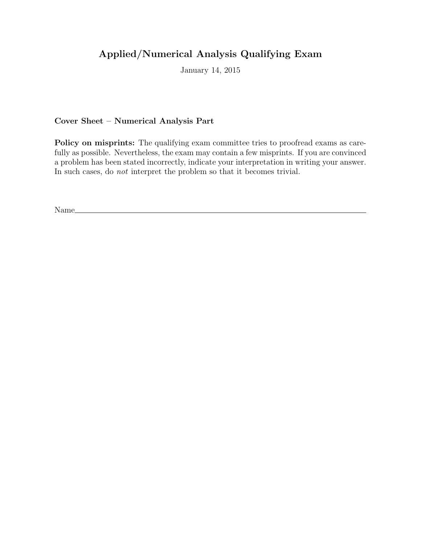# Applied/Numerical Analysis Qualifying Exam

January 14, 2015

Cover Sheet – Numerical Analysis Part

Policy on misprints: The qualifying exam committee tries to proofread exams as carefully as possible. Nevertheless, the exam may contain a few misprints. If you are convinced a problem has been stated incorrectly, indicate your interpretation in writing your answer. In such cases, do not interpret the problem so that it becomes trivial.

Name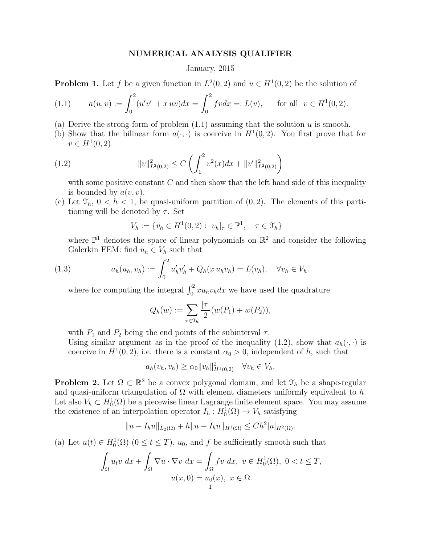#### NUMERICAL ANALYSIS QUALIFIER

#### January, 2015

**Problem 1.** Let f be a given function in  $L^2(0,2)$  and  $u \in H^1(0,2)$  be the solution of

(1.1) 
$$
a(u, v) := \int_0^2 (u'v' + x uv) dx = \int_0^2 f v dx =: L(v), \quad \text{for all } v \in H^1(0, 2).
$$

- (a) Derive the strong form of problem  $(1.1)$  assuming that the solution u is smooth.
- (b) Show that the bilinear form  $a(\cdot, \cdot)$  is coercive in  $H^1(0, 2)$ . You first prove that for  $v \in H^1(0, 2)$

(1.2) 
$$
||v||_{L^{2}(0,2)}^{2} \leq C \left( \int_{1}^{2} v^{2}(x) dx + ||v'||_{L^{2}(0,2)}^{2} \right)
$$

with some positive constant  $C$  and then show that the left hand side of this inequality is bounded by  $a(v, v)$ .

(c) Let  $\mathfrak{T}_h$ ,  $0 < h < 1$ , be quasi-uniform partition of  $(0, 2)$ . The elements of this partitioning will be denoted by  $\tau$ . Set

$$
V_h := \{ v_h \in H^1(0, 2) : \ v_h|_{\tau} \in \mathbb{P}^1, \quad \tau \in \mathcal{T}_h \}
$$

where  $\mathbb{P}^1$  denotes the space of linear polynomials on  $\mathbb{R}^2$  and consider the following Galerkin FEM: find  $u_h \in V_h$  such that

(1.3) 
$$
a_h(u_h, v_h) := \int_0^2 u'_h v'_h + Q_h(x u_h v_h) = L(v_h), \quad \forall v_h \in V_h.
$$

where for computing the integral  $\int_0^2 x u_h v_h dx$  we have used the quadrature

$$
Q_h(w) := \sum_{\tau \in \mathcal{T}_h} \frac{|\tau|}{2} (w(P_1) + w(P_2)),
$$

with  $P_1$  and  $P_2$  being the end points of the subinterval  $\tau$ .

Using similar argument as in the proof of the inequality (1.2), show that  $a_h(\cdot, \cdot)$  is coercive in  $H^1(0, 2)$ , i.e. there is a constant  $\alpha_0 > 0$ , independent of h, such that

$$
a_h(v_h, v_h) \ge \alpha_0 \|v_h\|_{H^1(0,2)}^2 \quad \forall v_h \in V_h.
$$

**Problem 2.** Let  $\Omega \subset \mathbb{R}^2$  be a convex polygonal domain, and let  $\mathcal{T}_h$  be a shape-regular and quasi-uniform triangulation of  $\Omega$  with element diameters uniformly equivalent to h. Let also  $V_h \subset H_0^1(\Omega)$  be a piecewise linear Lagrange finite element space. You may assume the existence of an interpolation operator  $I_h: H_0^1(\Omega) \to V_h$  satisfying

$$
||u - I_h u||_{L_2(\Omega)} + h||u - I_h u||_{H^1(\Omega)} \leq Ch^2 |u|_{H^2(\Omega)}.
$$

(a) Let  $u(t) \in H_0^1(\Omega)$   $(0 \le t \le T)$ ,  $u_0$ , and f be sufficiently smooth such that

$$
\int_{\Omega} u_t v \, dx + \int_{\Omega} \nabla u \cdot \nabla v \, dx = \int_{\Omega} fv \, dx, \ v \in H_0^1(\Omega), \ 0 < t \leq T,
$$
\n
$$
u(x, 0) = u_0(x), \ x \in \Omega.
$$